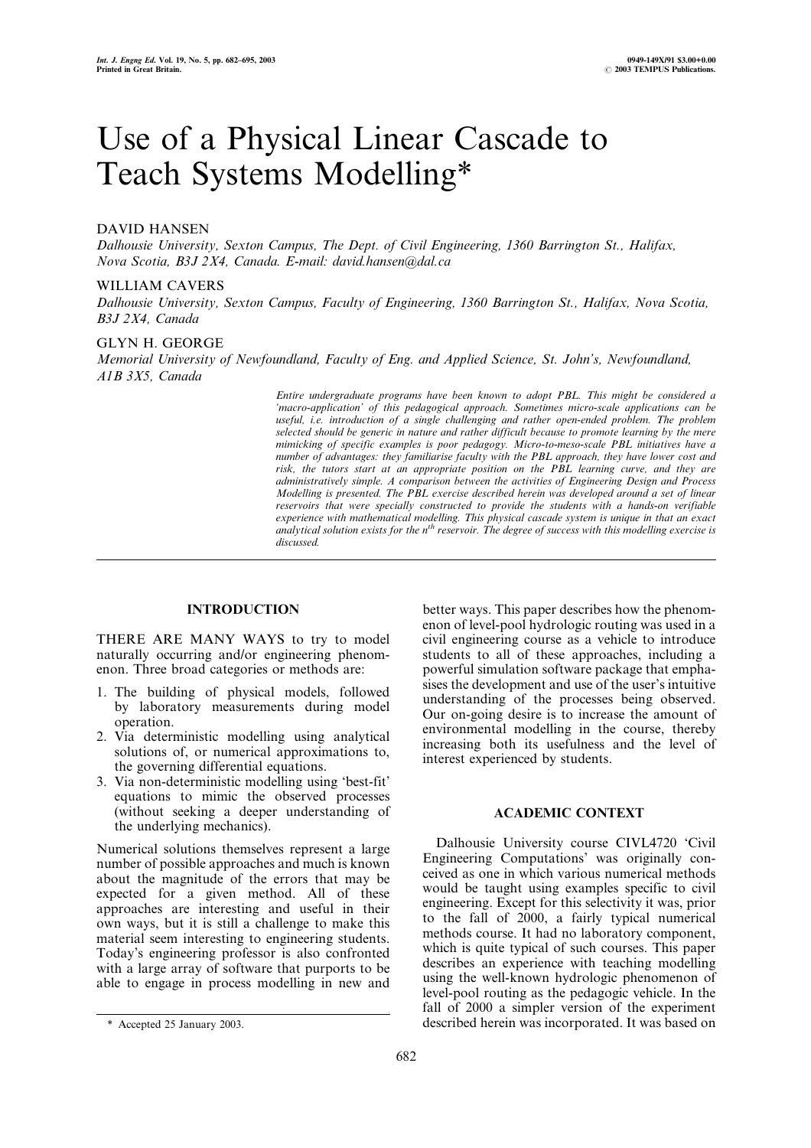# Use of a Physical Linear Cascade to Teach Systems Modelling\*

# DAVID HANSEN

Dalhousie University, Sexton Campus, The Dept. of Civil Engineering, 1360 Barrington St., Halifax, Nova Scotia, B3J 2X4, Canada. E-mail: david.hansen@dal.ca

#### WILLIAM CAVERS

Dalhousie University, Sexton Campus, Faculty of Engineering, 1360 Barrington St., Halifax, Nova Scotia, B3J 2X4, Canada

## GLYN H. GEORGE

Memorial University of Newfoundland, Faculty of Eng. and Applied Science, St. John's, Newfoundland, A1B 3X5, Canada

> Entire undergraduate programs have been known to adopt PBL. This might be considered a `macro-application' of this pedagogical approach. Sometimes micro-scale applications can be useful, i.e. introduction of a single challenging and rather open-ended problem. The problem selected should be generic in nature and rather difficult because to promote learning by the mere mimicking of specific examples is poor pedagogy. Micro-to-meso-scale PBL initiatives have a number of advantages: they familiarise faculty with the PBL approach, they have lower cost and risk, the tutors start at an appropriate position on the PBL learning curve, and they are administratively simple. A comparison between the activities of Engineering Design and Process Modelling is presented. The PBL exercise described herein was developed around a set of linear reservoirs that were specially constructed to provide the students with a hands-on verifiable experience with mathematical modelling. This physical cascade system is unique in that an exact analytical solution exists for the  $n<sup>th</sup>$  reservoir. The degree of success with this modelling exercise is discussed.

# INTRODUCTION

THERE ARE MANY WAYS to try to model naturally occurring and/or engineering phenomenon. Three broad categories or methods are:

- 1. The building of physical models, followed by laboratory measurements during model operation.
- 2. Via deterministic modelling using analytical solutions of, or numerical approximations to, the governing differential equations.
- 3. Via non-deterministic modelling using `best-fit' equations to mimic the observed processes (without seeking a deeper understanding of the underlying mechanics).

Numerical solutions themselves represent a large number of possible approaches and much is known about the magnitude of the errors that may be expected for a given method. All of these approaches are interesting and useful in their own ways, but it is still a challenge to make this material seem interesting to engineering students. Today's engineering professor is also confronted with a large array of software that purports to be able to engage in process modelling in new and better ways. This paper describes how the phenomenon of level-pool hydrologic routing was used in a civil engineering course as a vehicle to introduce students to all of these approaches, including a powerful simulation software package that emphasises the development and use of the user's intuitive understanding of the processes being observed. Our on-going desire is to increase the amount of environmental modelling in the course, thereby increasing both its usefulness and the level of interest experienced by students.

## ACADEMIC CONTEXT

Dalhousie University course CIVL4720 `Civil Engineering Computations' was originally conceived as one in which various numerical methods would be taught using examples specific to civil engineering. Except for this selectivity it was, prior to the fall of 2000, a fairly typical numerical methods course. It had no laboratory component, which is quite typical of such courses. This paper describes an experience with teaching modelling using the well-known hydrologic phenomenon of level-pool routing as the pedagogic vehicle. In the fall of 2000 a simpler version of the experiment \* Accepted 25 January 2003. described herein was incorporated. It was based on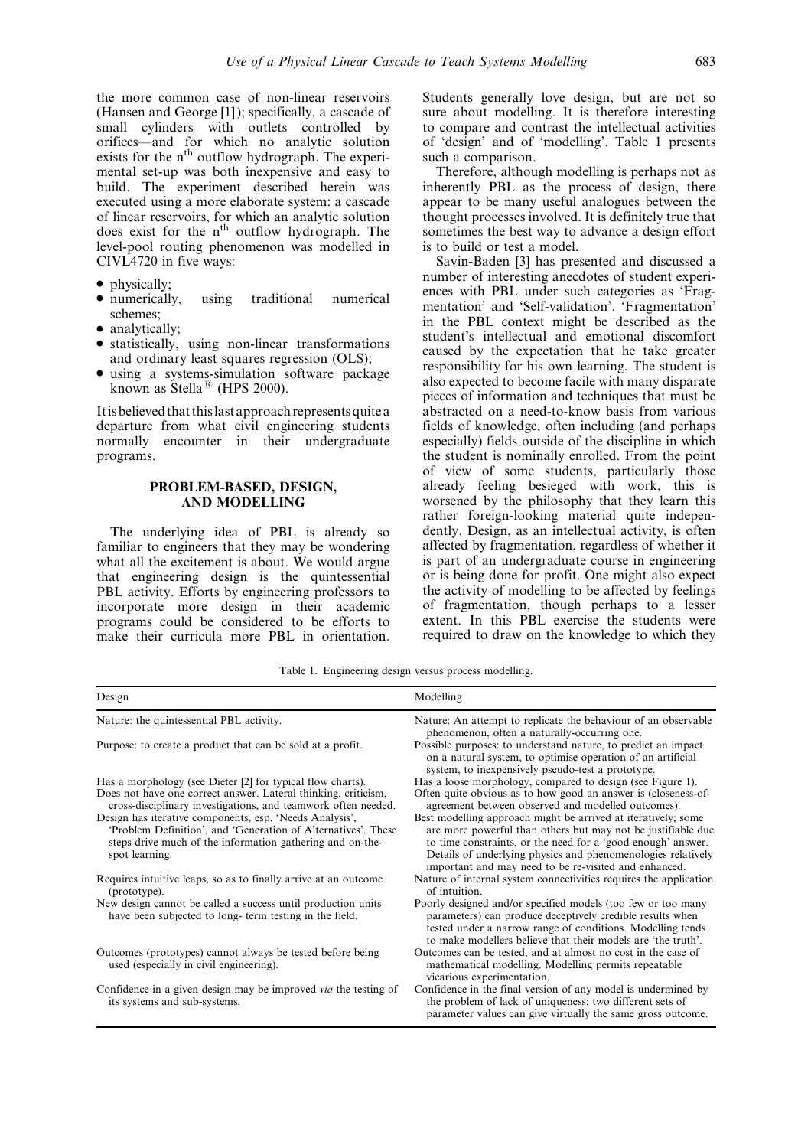the more common case of non-linear reservoirs (Hansen and George [1]); specifically, a cascade of small cylinders with outlets controlled by orifices—and for which no analytic solution exists for the n<sup>th</sup> outflow hydrograph. The experimental set-up was both inexpensive and easy to build. The experiment described herein was executed using a more elaborate system: a cascade of linear reservoirs, for which an analytic solution does exist for the n<sup>th</sup> outflow hydrograph. The level-pool routing phenomenon was modelled in CIVL4720 in five ways:

- physically:
- numerically, using traditional numerical schemes;
- analytically:
- statistically, using non-linear transformations and ordinary least squares regression (OLS);
- . using a systems-simulation software package known as Stella<sup>®</sup> (HPS 2000).

It is believed that this last approach represents quite a departure from what civil engineering students normally encounter in their undergraduate programs.

## PROBLEM-BASED, DESIGN, AND MODELLING

The underlying idea of PBL is already so familiar to engineers that they may be wondering what all the excitement is about. We would argue that engineering design is the quintessential PBL activity. Efforts by engineering professors to incorporate more design in their academic programs could be considered to be efforts to make their curricula more PBL in orientation. Students generally love design, but are not so sure about modelling. It is therefore interesting to compare and contrast the intellectual activities of `design' and of `modelling'. Table 1 presents such a comparison.

Therefore, although modelling is perhaps not as inherently PBL as the process of design, there appear to be many useful analogues between the thought processes involved. It is definitely true that sometimes the best way to advance a design effort is to build or test a model.

Savin-Baden [3] has presented and discussed a number of interesting anecdotes of student experiences with PBL under such categories as 'Fragmentation' and 'Self-validation'. 'Fragmentation' in the PBL context might be described as the student's intellectual and emotional discomfort caused by the expectation that he take greater responsibility for his own learning. The student is also expected to become facile with many disparate pieces of information and techniques that must be abstracted on a need-to-know basis from various fields of knowledge, often including (and perhaps especially) fields outside of the discipline in which the student is nominally enrolled. From the point of view of some students, particularly those already feeling besieged with work, this is worsened by the philosophy that they learn this rather foreign-looking material quite independently. Design, as an intellectual activity, is often affected by fragmentation, regardless of whether it is part of an undergraduate course in engineering or is being done for profit. One might also expect the activity of modelling to be affected by feelings of fragmentation, though perhaps to a lesser extent. In this PBL exercise the students were required to draw on the knowledge to which they

Table 1. Engineering design versus process modelling.

| Design                                                                                                                                                                                                  | Modelling                                                                                                                                                                                                                                                                                                              |  |  |  |  |
|---------------------------------------------------------------------------------------------------------------------------------------------------------------------------------------------------------|------------------------------------------------------------------------------------------------------------------------------------------------------------------------------------------------------------------------------------------------------------------------------------------------------------------------|--|--|--|--|
| Nature: the quintessential PBL activity.                                                                                                                                                                | Nature: An attempt to replicate the behaviour of an observable<br>phenomenon, often a naturally-occurring one.                                                                                                                                                                                                         |  |  |  |  |
| Purpose: to create a product that can be sold at a profit.                                                                                                                                              | Possible purposes: to understand nature, to predict an impact<br>on a natural system, to optimise operation of an artificial<br>system, to inexpensively pseudo-test a prototype.                                                                                                                                      |  |  |  |  |
| Has a morphology (see Dieter [2] for typical flow charts).                                                                                                                                              | Has a loose morphology, compared to design (see Figure 1).                                                                                                                                                                                                                                                             |  |  |  |  |
| Does not have one correct answer. Lateral thinking, criticism,<br>cross-disciplinary investigations, and teamwork often needed.                                                                         | Often quite obvious as to how good an answer is (closeness-of-<br>agreement between observed and modelled outcomes).                                                                                                                                                                                                   |  |  |  |  |
| Design has iterative components, esp. 'Needs Analysis',<br>'Problem Definition', and 'Generation of Alternatives'. These<br>steps drive much of the information gathering and on-the-<br>spot learning. | Best modelling approach might be arrived at iteratively; some<br>are more powerful than others but may not be justifiable due<br>to time constraints, or the need for a 'good enough' answer.<br>Details of underlying physics and phenomenologies relatively<br>important and may need to be re-visited and enhanced. |  |  |  |  |
| Requires intuitive leaps, so as to finally arrive at an outcome<br>(prototype).                                                                                                                         | Nature of internal system connectivities requires the application<br>of intuition.                                                                                                                                                                                                                                     |  |  |  |  |
| New design cannot be called a success until production units<br>have been subjected to long-term testing in the field.                                                                                  | Poorly designed and/or specified models (too few or too many<br>parameters) can produce deceptively credible results when<br>tested under a narrow range of conditions. Modelling tends<br>to make modellers believe that their models are 'the truth'.                                                                |  |  |  |  |
| Outcomes (prototypes) cannot always be tested before being<br>used (especially in civil engineering).                                                                                                   | Outcomes can be tested, and at almost no cost in the case of<br>mathematical modelling. Modelling permits repeatable<br>vicarious experimentation.                                                                                                                                                                     |  |  |  |  |
| Confidence in a given design may be improved <i>via</i> the testing of<br>its systems and sub-systems.                                                                                                  | Confidence in the final version of any model is undermined by<br>the problem of lack of uniqueness: two different sets of<br>parameter values can give virtually the same gross outcome.                                                                                                                               |  |  |  |  |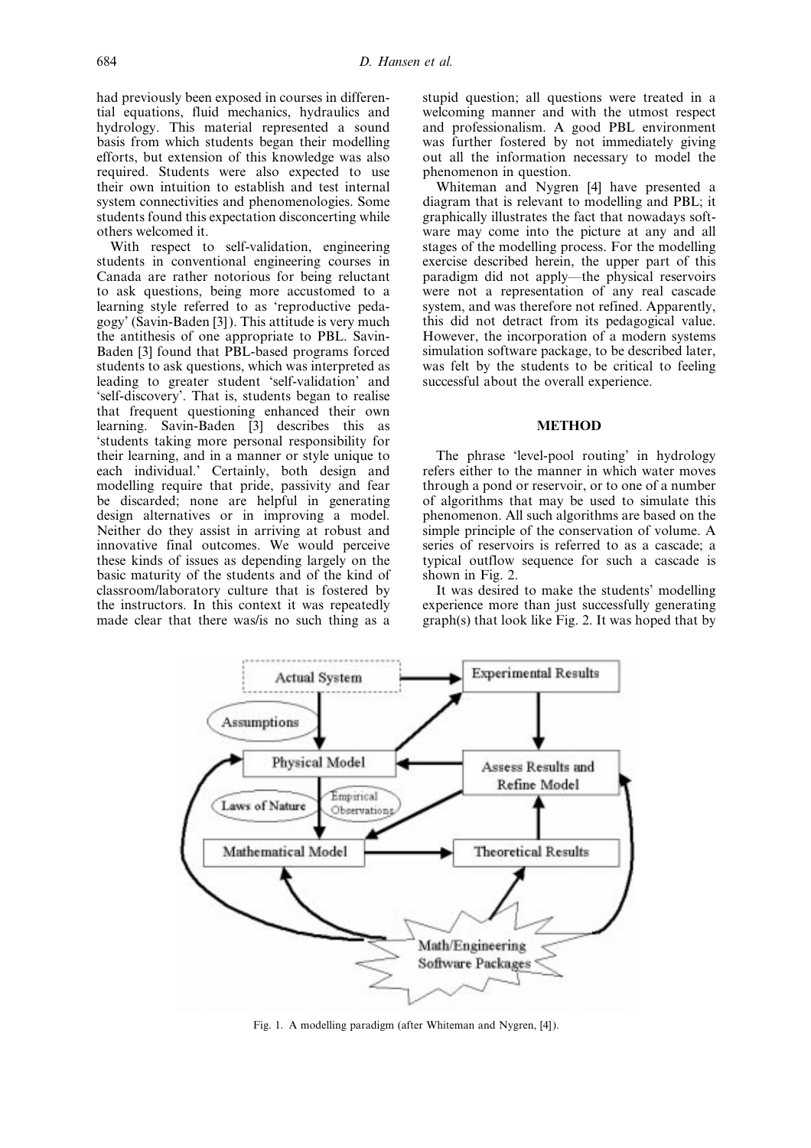had previously been exposed in courses in differential equations, fluid mechanics, hydraulics and hydrology. This material represented a sound basis from which students began their modelling efforts, but extension of this knowledge was also required. Students were also expected to use their own intuition to establish and test internal system connectivities and phenomenologies. Some students found this expectation disconcerting while others welcomed it.

With respect to self-validation, engineering students in conventional engineering courses in Canada are rather notorious for being reluctant to ask questions, being more accustomed to a learning style referred to as 'reproductive pedagogy' (Savin-Baden [3]). This attitude is very much the antithesis of one appropriate to PBL. Savin-Baden [3] found that PBL-based programs forced students to ask questions, which was interpreted as leading to greater student `self-validation' and `self-discovery'. That is, students began to realise that frequent questioning enhanced their own learning. Savin-Baden [3] describes this as `students taking more personal responsibility for their learning, and in a manner or style unique to each individual.' Certainly, both design and modelling require that pride, passivity and fear be discarded; none are helpful in generating design alternatives or in improving a model. Neither do they assist in arriving at robust and innovative final outcomes. We would perceive these kinds of issues as depending largely on the basic maturity of the students and of the kind of classroom/laboratory culture that is fostered by the instructors. In this context it was repeatedly made clear that there was/is no such thing as a stupid question; all questions were treated in a welcoming manner and with the utmost respect and professionalism. A good PBL environment was further fostered by not immediately giving out all the information necessary to model the phenomenon in question.

Whiteman and Nygren [4] have presented a diagram that is relevant to modelling and PBL; it graphically illustrates the fact that nowadays software may come into the picture at any and all stages of the modelling process. For the modelling exercise described herein, the upper part of this paradigm did not apply—the physical reservoirs were not a representation of any real cascade system, and was therefore not refined. Apparently, this did not detract from its pedagogical value. However, the incorporation of a modern systems simulation software package, to be described later, was felt by the students to be critical to feeling successful about the overall experience.

## **METHOD**

The phrase 'level-pool routing' in hydrology refers either to the manner in which water moves through a pond or reservoir, or to one of a number of algorithms that may be used to simulate this phenomenon. All such algorithms are based on the simple principle of the conservation of volume. A series of reservoirs is referred to as a cascade; a typical outflow sequence for such a cascade is shown in Fig. 2.

It was desired to make the students' modelling experience more than just successfully generating graph(s) that look like Fig. 2. It was hoped that by



Fig. 1. A modelling paradigm (after Whiteman and Nygren, [4]).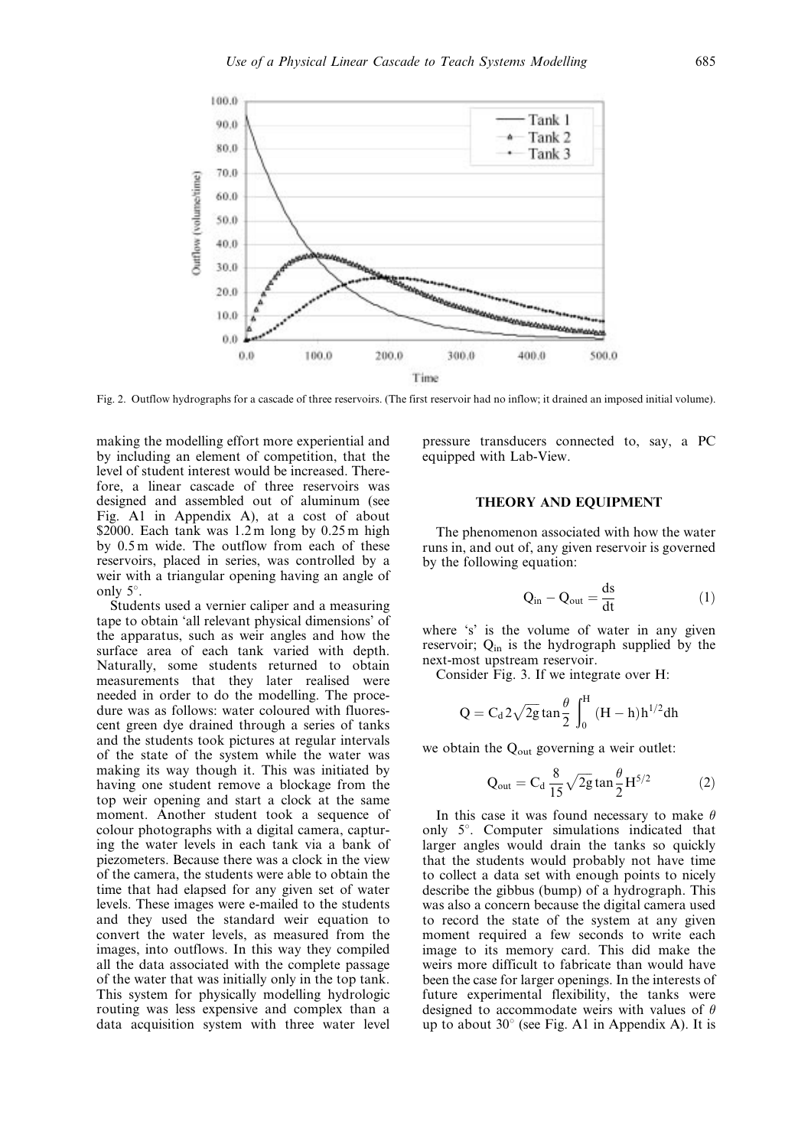

Fig. 2. Outflow hydrographs for a cascade of three reservoirs. (The first reservoir had no inflow; it drained an imposed initial volume).

making the modelling effort more experiential and by including an element of competition, that the level of student interest would be increased. Therefore, a linear cascade of three reservoirs was designed and assembled out of aluminum (see Fig. A1 in Appendix A), at a cost of about \$2000. Each tank was  $1.2 \text{ m}$  long by  $0.25 \text{ m}$  high by 0.5 m wide. The outflow from each of these reservoirs, placed in series, was controlled by a weir with a triangular opening having an angle of only  $5^\circ$ .

Students used a vernier caliper and a measuring tape to obtain `all relevant physical dimensions' of the apparatus, such as weir angles and how the surface area of each tank varied with depth. Naturally, some students returned to obtain measurements that they later realised were needed in order to do the modelling. The procedure was as follows: water coloured with fluorescent green dye drained through a series of tanks and the students took pictures at regular intervals of the state of the system while the water was making its way though it. This was initiated by having one student remove a blockage from the top weir opening and start a clock at the same moment. Another student took a sequence of colour photographs with a digital camera, capturing the water levels in each tank via a bank of piezometers. Because there was a clock in the view of the camera, the students were able to obtain the time that had elapsed for any given set of water levels. These images were e-mailed to the students and they used the standard weir equation to convert the water levels, as measured from the images, into outflows. In this way they compiled all the data associated with the complete passage of the water that was initially only in the top tank. This system for physically modelling hydrologic routing was less expensive and complex than a data acquisition system with three water level pressure transducers connected to, say, a PC equipped with Lab-View.

# THEORY AND EQUIPMENT

The phenomenon associated with how the water runs in, and out of, any given reservoir is governed by the following equation:

$$
Q_{in} - Q_{out} = \frac{ds}{dt}
$$
 (1)

where 's' is the volume of water in any given reservoir;  $Q_{in}$  is the hydrograph supplied by the next-most upstream reservoir.

Consider Fig. 3. If we integrate over H:

$$
Q=C_d\,2\sqrt{2g}\tan\frac{\theta}{2}\,\int_0^H\,(H-h)h^{1/2}dh
$$

we obtain the  $Q_{\text{out}}$  governing a weir outlet:

$$
Q_{\text{out}} = C_d \frac{8}{15} \sqrt{2g} \tan \frac{\theta}{2} H^{5/2}
$$
 (2)

In this case it was found necessary to make  $\theta$ only  $5^\circ$ . Computer simulations indicated that larger angles would drain the tanks so quickly that the students would probably not have time to collect a data set with enough points to nicely describe the gibbus (bump) of a hydrograph. This was also a concern because the digital camera used to record the state of the system at any given moment required a few seconds to write each image to its memory card. This did make the weirs more difficult to fabricate than would have been the case for larger openings. In the interests of future experimental flexibility, the tanks were designed to accommodate weirs with values of  $\theta$ up to about  $30^{\circ}$  (see Fig. A1 in Appendix A). It is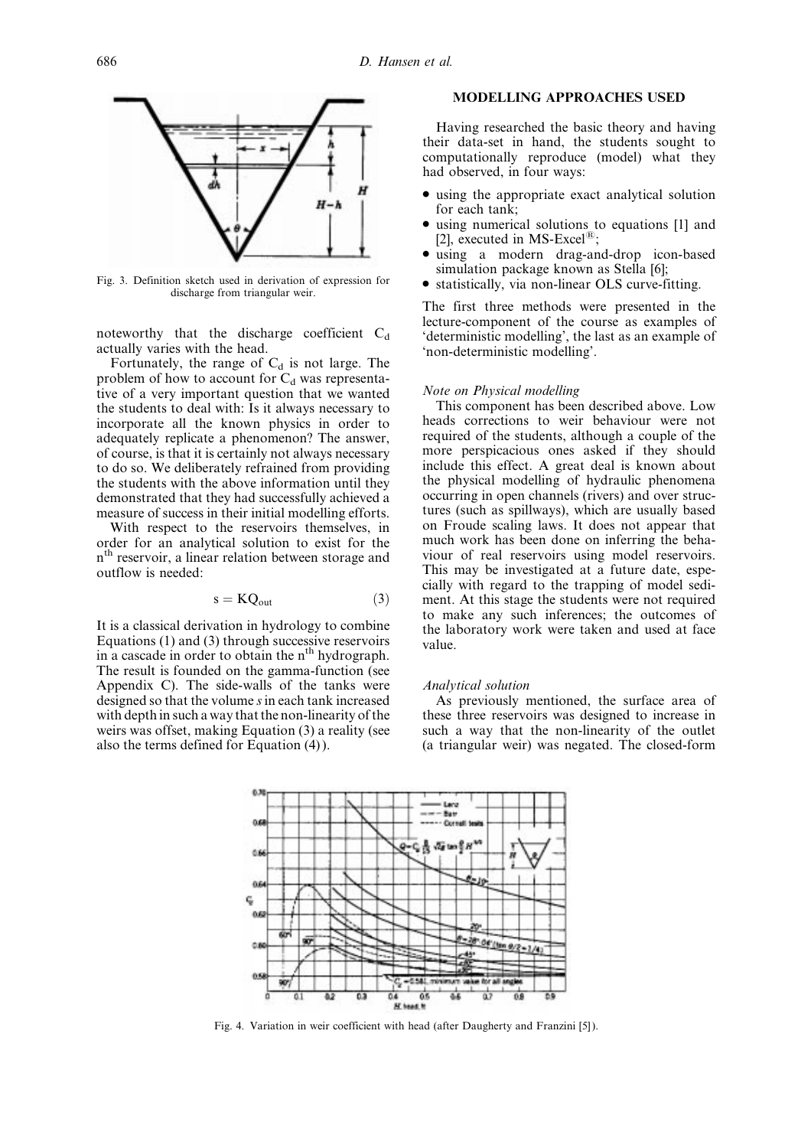

Fig. 3. Definition sketch used in derivation of expression for discharge from triangular weir.

noteworthy that the discharge coefficient  $C_d$ actually varies with the head.

Fortunately, the range of  $C_d$  is not large. The problem of how to account for  $C_d$  was representative of a very important question that we wanted the students to deal with: Is it always necessary to incorporate all the known physics in order to adequately replicate a phenomenon? The answer, of course, is that it is certainly not always necessary to do so. We deliberately refrained from providing the students with the above information until they demonstrated that they had successfully achieved a measure of success in their initial modelling efforts.

With respect to the reservoirs themselves, in order for an analytical solution to exist for the n<sup>th</sup> reservoir, a linear relation between storage and outflow is needed:

$$
s = KQ_{out} \tag{3}
$$

It is a classical derivation in hydrology to combine Equations (1) and (3) through successive reservoirs in a cascade in order to obtain the n<sup>th</sup> hydrograph. The result is founded on the gamma-function (see Appendix C). The side-walls of the tanks were designed so that the volume sin each tank increased with depth in such a way that the non-linearity of the weirs was offset, making Equation (3) a reality (see also the terms defined for Equation (4)).

# MODELLING APPROACHES USED

Having researched the basic theory and having their data-set in hand, the students sought to computationally reproduce (model) what they had observed, in four ways:

- . using the appropriate exact analytical solution for each tank;
- . using numerical solutions to equations [1] and [2], executed in MS-Excel $^{(8)}$ ;
- . using a modern drag-and-drop icon-based simulation package known as Stella [6];
- . statistically, via non-linear OLS curve-fitting.

The first three methods were presented in the lecture-component of the course as examples of `deterministic modelling', the last as an example of `non-deterministic modelling'.

#### Note on Physical modelling

This component has been described above. Low heads corrections to weir behaviour were not required of the students, although a couple of the more perspicacious ones asked if they should include this effect. A great deal is known about the physical modelling of hydraulic phenomena occurring in open channels (rivers) and over structures (such as spillways), which are usually based on Froude scaling laws. It does not appear that much work has been done on inferring the behaviour of real reservoirs using model reservoirs. This may be investigated at a future date, especially with regard to the trapping of model sediment. At this stage the students were not required to make any such inferences; the outcomes of the laboratory work were taken and used at face value.

#### Analytical solution

As previously mentioned, the surface area of these three reservoirs was designed to increase in such a way that the non-linearity of the outlet (a triangular weir) was negated. The closed-form



Fig. 4. Variation in weir coefficient with head (after Daugherty and Franzini [5]).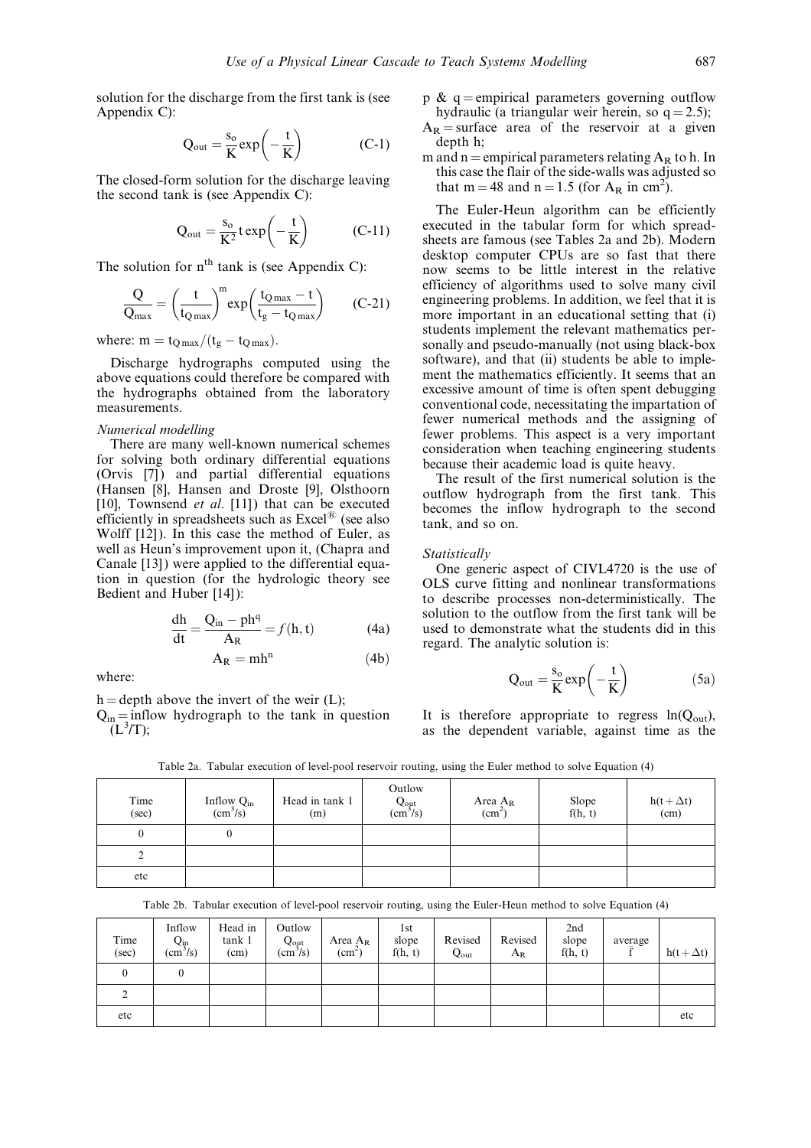solution for the discharge from the first tank is (see Appendix C):

$$
Q_{out} = \frac{s_o}{K} exp\left(-\frac{t}{K}\right) \tag{C-1}
$$

The closed-form solution for the discharge leaving the second tank is (see Appendix C):

$$
Q_{out} = \frac{s_o}{K^2} \exp\left(-\frac{t}{K}\right) \qquad (C-11)
$$

The solution for  $n<sup>th</sup>$  tank is (see Appendix C):

$$
\frac{Q}{Q_{\text{max}}} = \left(\frac{t}{t_{Q\text{max}}}\right)^{m} \exp\left(\frac{t_{Q\text{max}} - t}{t_{g} - t_{Q\text{max}}}\right) \qquad (C-21)
$$

where:  $m = t_{\text{O max}}/(t_g - t_{\text{O max}})$ .

Discharge hydrographs computed using the above equations could therefore be compared with the hydrographs obtained from the laboratory measurements.

#### Numerical modelling

There are many well-known numerical schemes for solving both ordinary differential equations (Orvis [7]) and partial differential equations (Hansen [8], Hansen and Droste [9], Olsthoorn [10], Townsend *et al.* [11]) that can be executed efficiently in spreadsheets such as  $\text{Excel}^{\textcircled{B}}$  (see also Wolff [12]). In this case the method of Euler, as well as Heun's improvement upon it, (Chapra and Canale [13]) were applied to the differential equation in question (for the hydrologic theory see Bedient and Huber [14]):

$$
\frac{dh}{dt} = \frac{Q_{in} - ph^q}{A_R} = f(h, t)
$$
 (4a)

 $A_R = mh^n$  (4b)

where:

 $h =$  depth above the invert of the weir (L):

 $Q_{in}$  = inflow hydrograph to the tank in question  $\mathrm{L}^3$ T);

- p &  $q =$ empirical parameters governing outflow hydraulic (a triangular weir herein, so  $q = 2.5$ );
- $A_R$  = surface area of the reservoir at a given depth h;
- m and n = empirical parameters relating  $A_R$  to h. In this case the flair of the side-walls was adjusted so that m = 48 and n = 1.5 (for  $A_R$  in cm<sup>2</sup>).

The Euler-Heun algorithm can be efficiently executed in the tabular form for which spreadsheets are famous (see Tables 2a and 2b). Modern desktop computer CPUs are so fast that there now seems to be little interest in the relative efficiency of algorithms used to solve many civil engineering problems. In addition, we feel that it is more important in an educational setting that (i) students implement the relevant mathematics personally and pseudo-manually (not using black-box software), and that (ii) students be able to implement the mathematics efficiently. It seems that an excessive amount of time is often spent debugging conventional code, necessitating the impartation of fewer numerical methods and the assigning of fewer problems. This aspect is a very important consideration when teaching engineering students because their academic load is quite heavy.

The result of the first numerical solution is the outflow hydrograph from the first tank. This becomes the inflow hydrograph to the second tank, and so on.

#### Statistically

One generic aspect of CIVL4720 is the use of OLS curve fitting and nonlinear transformations to describe processes non-deterministically. The solution to the outflow from the first tank will be used to demonstrate what the students did in this regard. The analytic solution is:

$$
Q_{out} = \frac{s_o}{K} exp\left(-\frac{t}{K}\right) \hspace{1.5cm} (5a)
$$

It is therefore appropriate to regress  $ln(Q_{out})$ , as the dependent variable, against time as the

| Time<br>(sec) | Inflow $Q_{in}$ (cm <sup>3</sup> /s) | Head in tank 1<br>(m) | Outlow<br>$Q_{\text{out}}$<br>(cm <sup>3</sup> /s) | Area $A_R$<br>(cm <sup>2</sup> ) | Slope<br>f(h, t) | $h(t + \Delta t)$<br>(cm) |
|---------------|--------------------------------------|-----------------------|----------------------------------------------------|----------------------------------|------------------|---------------------------|
|               | U                                    |                       |                                                    |                                  |                  |                           |
| ∠             |                                      |                       |                                                    |                                  |                  |                           |
| etc           |                                      |                       |                                                    |                                  |                  |                           |

Table 2a. Tabular execution of level-pool reservoir routing, using the Euler method to solve Equation (4)

Table 2b. Tabular execution of level-pool reservoir routing, using the Euler-Heun method to solve Equation (4)

| Time<br>(sec) | Inflow<br>$Q_{in}$<br>$\rm (cm^3/s)$ | Head in<br>tank 1<br>(cm) | Outlow<br>$Q_{\text{out}}$<br>(cm <sup>3</sup> /s) | Area $A_R$<br>$\rm (cm^2)$ | lst<br>slope<br>f(h, t) | Revised<br>$Q_{\text{out}}$ | Revised<br>$A_R$ | 2nd<br>slope<br>f(h, t) | average | $h(t + \Delta t)$ |
|---------------|--------------------------------------|---------------------------|----------------------------------------------------|----------------------------|-------------------------|-----------------------------|------------------|-------------------------|---------|-------------------|
| 0             | 0                                    |                           |                                                    |                            |                         |                             |                  |                         |         |                   |
| ◠             |                                      |                           |                                                    |                            |                         |                             |                  |                         |         |                   |
| etc           |                                      |                           |                                                    |                            |                         |                             |                  |                         |         | etc               |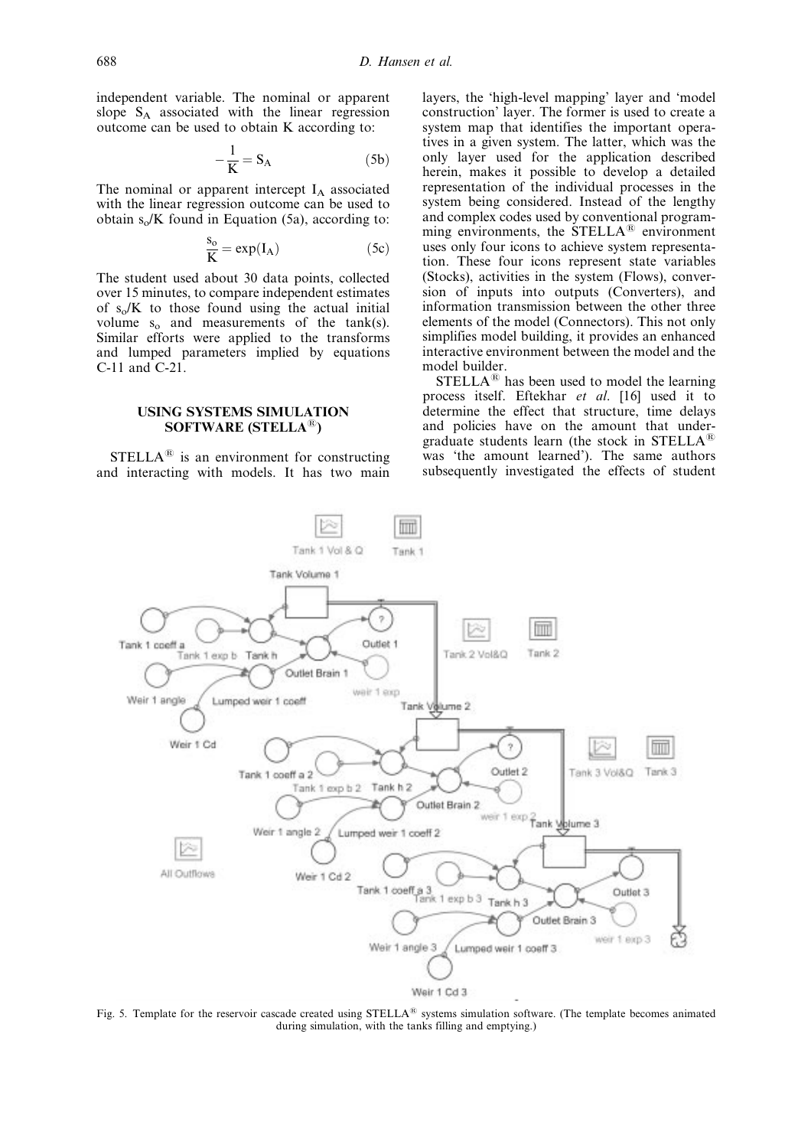independent variable. The nominal or apparent slope  $S_A$  associated with the linear regression outcome can be used to obtain K according to:

$$
-\frac{1}{K} = S_A \tag{5b}
$$

The nominal or apparent intercept  $I_A$  associated with the linear regression outcome can be used to obtain  $s_0/K$  found in Equation (5a), according to:

$$
\frac{s_o}{K} = \exp(I_A) \tag{5c}
$$

The student used about 30 data points, collected over 15 minutes, to compare independent estimates of  $s_0/K$  to those found using the actual initial volume  $s_0$  and measurements of the tank(s). Similar efforts were applied to the transforms and lumped parameters implied by equations C-11 and C-21.

#### USING SYSTEMS SIMULATION SOFTWARE (STELLA $^{(8)}$ )

 $STELLA^{\circledR}$  is an environment for constructing and interacting with models. It has two main layers, the `high-level mapping' layer and `model construction' layer. The former is used to create a system map that identifies the important operatives in a given system. The latter, which was the only layer used for the application described herein, makes it possible to develop a detailed representation of the individual processes in the system being considered. Instead of the lengthy and complex codes used by conventional programming environments, the  $STELLA^{\circledR}$  environment uses only four icons to achieve system representation. These four icons represent state variables (Stocks), activities in the system (Flows), conversion of inputs into outputs (Converters), and information transmission between the other three elements of the model (Connectors). This not only simplifies model building, it provides an enhanced interactive environment between the model and the model builder.

 $STELLA^{\circledR}$  has been used to model the learning process itself. Eftekhar et al. [16] used it to determine the effect that structure, time delays and policies have on the amount that undergraduate students learn (the stock in STELLA $^{\circledR}$ was 'the amount learned'). The same authors subsequently investigated the effects of student



Fig. 5. Template for the reservoir cascade created using  $STELLA^{\circledR}$  systems simulation software. (The template becomes animated during simulation, with the tanks filling and emptying.)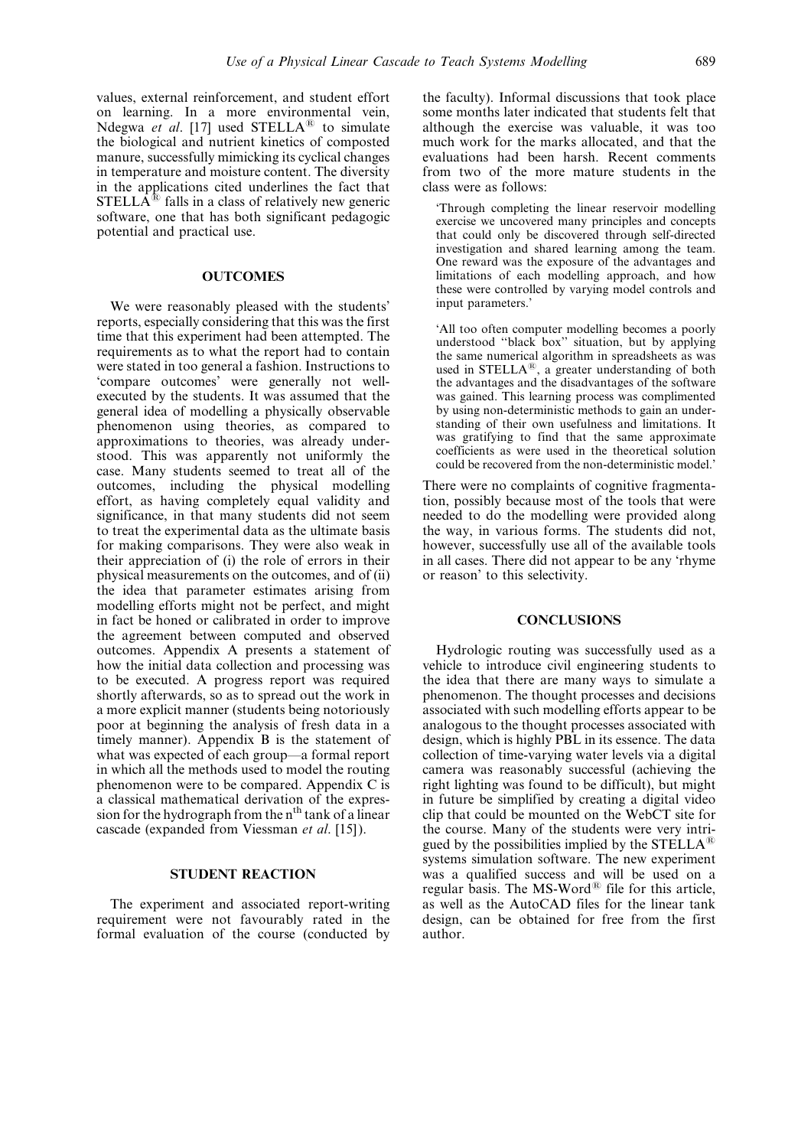values, external reinforcement, and student effort on learning. In a more environmental vein, Ndegwa et al. [17] used  $STELLA^{\textcircled{\tiny{R}}}$  to simulate the biological and nutrient kinetics of composted manure, successfully mimicking its cyclical changes in temperature and moisture content. The diversity in the applications cited underlines the fact that  $STELLA^{\textcircled{E}}$  falls in a class of relatively new generic software, one that has both significant pedagogic potential and practical use.

## **OUTCOMES**

We were reasonably pleased with the students' reports, especially considering that this was the first time that this experiment had been attempted. The requirements as to what the report had to contain were stated in too general a fashion. Instructions to `compare outcomes' were generally not wellexecuted by the students. It was assumed that the general idea of modelling a physically observable phenomenon using theories, as compared to approximations to theories, was already understood. This was apparently not uniformly the case. Many students seemed to treat all of the outcomes, including the physical modelling effort, as having completely equal validity and significance, in that many students did not seem to treat the experimental data as the ultimate basis for making comparisons. They were also weak in their appreciation of (i) the role of errors in their physical measurements on the outcomes, and of (ii) the idea that parameter estimates arising from modelling efforts might not be perfect, and might in fact be honed or calibrated in order to improve the agreement between computed and observed outcomes. Appendix A presents a statement of how the initial data collection and processing was to be executed. A progress report was required shortly afterwards, so as to spread out the work in a more explicit manner (students being notoriously poor at beginning the analysis of fresh data in a timely manner). Appendix B is the statement of what was expected of each group—a formal report in which all the methods used to model the routing phenomenon were to be compared. Appendix C is a classical mathematical derivation of the expression for the hydrograph from the  $n<sup>th</sup>$  tank of a linear cascade (expanded from Viessman et al. [15]).

#### STUDENT REACTION

The experiment and associated report-writing requirement were not favourably rated in the formal evaluation of the course (conducted by the faculty). Informal discussions that took place some months later indicated that students felt that although the exercise was valuable, it was too much work for the marks allocated, and that the evaluations had been harsh. Recent comments from two of the more mature students in the class were as follows:

`Through completing the linear reservoir modelling exercise we uncovered many principles and concepts that could only be discovered through self-directed investigation and shared learning among the team. One reward was the exposure of the advantages and limitations of each modelling approach, and how these were controlled by varying model controls and input parameters.'

`All too often computer modelling becomes a poorly understood "black box" situation, but by applying the same numerical algorithm in spreadsheets as was used in STELLA<sup>®</sup>, a greater understanding of both the advantages and the disadvantages of the software was gained. This learning process was complimented by using non-deterministic methods to gain an understanding of their own usefulness and limitations. It was gratifying to find that the same approximate coefficients as were used in the theoretical solution could be recovered from the non-deterministic model.'

There were no complaints of cognitive fragmentation, possibly because most of the tools that were needed to do the modelling were provided along the way, in various forms. The students did not, however, successfully use all of the available tools in all cases. There did not appear to be any `rhyme or reason' to this selectivity.

## **CONCLUSIONS**

Hydrologic routing was successfully used as a vehicle to introduce civil engineering students to the idea that there are many ways to simulate a phenomenon. The thought processes and decisions associated with such modelling efforts appear to be analogous to the thought processes associated with design, which is highly PBL in its essence. The data collection of time-varying water levels via a digital camera was reasonably successful (achieving the right lighting was found to be difficult), but might in future be simplified by creating a digital video clip that could be mounted on the WebCT site for the course. Many of the students were very intrigued by the possibilities implied by the  $STELLA^{\circledR}$ systems simulation software. The new experiment was a qualified success and will be used on a regular basis. The  $MS-Word^{\circledR}$  file for this article, as well as the AutoCAD files for the linear tank design, can be obtained for free from the first author.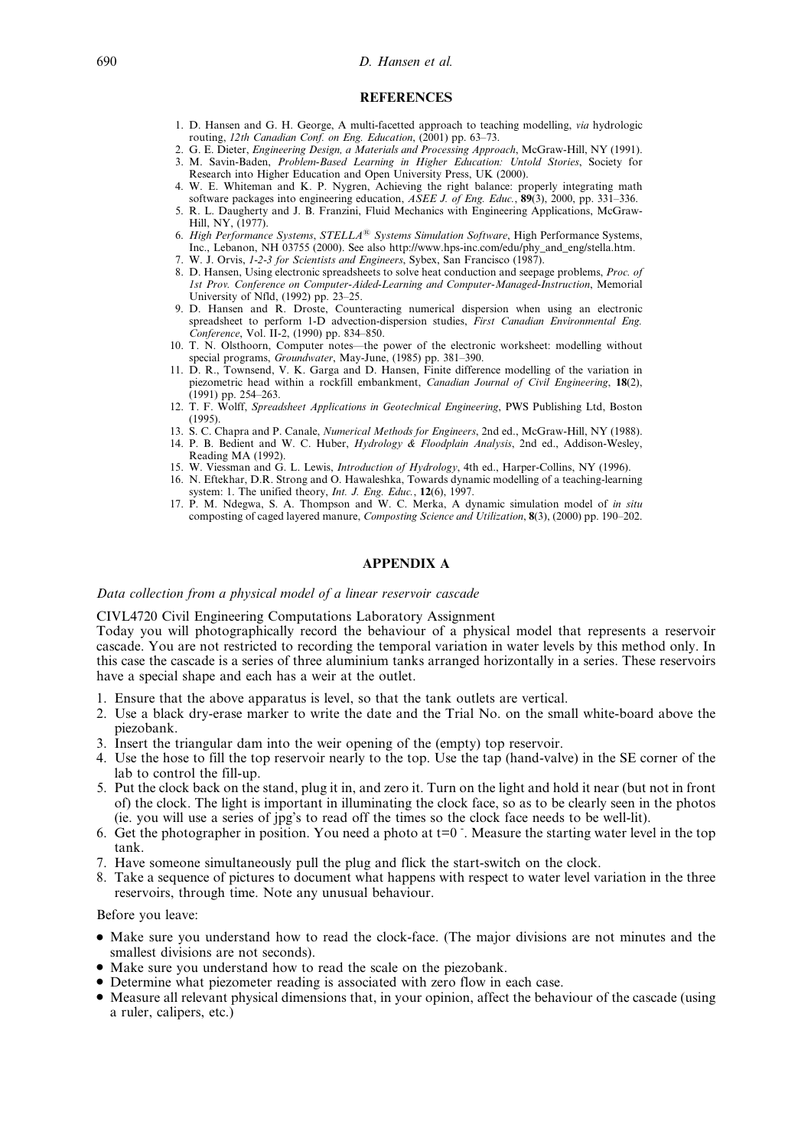#### 690 D. Hansen et al.

#### **REFERENCES**

- 1. D. Hansen and G. H. George, A multi-facetted approach to teaching modelling, via hydrologic routing, 12th Canadian Conf. on Eng. Education,  $(2001)$  pp. 63–73.
- 2. G. E. Dieter, *Engineering Design, a Materials and Processing Approach*, McGraw-Hill, NY (1991).
- 3. M. Savin-Baden, Problem-Based Learning in Higher Education: Untold Stories, Society for Research into Higher Education and Open University Press, UK (2000).
- 4. W. E. Whiteman and K. P. Nygren, Achieving the right balance: properly integrating math software packages into engineering education,  $\overline{ASEE}$  J. of Eng. Educ., 89(3), 2000, pp. 331–336.
- 5. R. L. Daugherty and J. B. Franzini, Fluid Mechanics with Engineering Applications, McGraw-Hill, NY, (1977). 6. High Performance Systems,  $STELLA^{\circledR}$  Systems Simulation Software, High Performance Systems,
- Inc., Lebanon, NH 03755 (2000). See also http://www.hps-inc.com/edu/phy\_and\_eng/stella.htm. 7. W. J. Orvis, 1-2-3 for Scientists and Engineers, Sybex, San Francisco (1987).
- 8. D. Hansen, Using electronic spreadsheets to solve heat conduction and seepage problems, Proc. of 1st Prov. Conference on Computer-Aided-Learning and Computer-Managed-Instruction, Memorial University of Nfld,  $(1992)$  pp. 23-25.
- 9. D. Hansen and R. Droste, Counteracting numerical dispersion when using an electronic spreadsheet to perform 1-D advection-dispersion studies, First Canadian Environmental Eng. Conference, Vol. II-2, (1990) pp. 834-850.
- 10. T. N. Olsthoorn, Computer notes—the power of the electronic worksheet: modelling without special programs, Groundwater, May-June, (1985) pp. 381-390.
- 11. D. R., Townsend, V. K. Garga and D. Hansen, Finite difference modelling of the variation in piezometric head within a rockfill embankment, Canadian Journal of Civil Engineering, 18(2),  $(1991)$  pp. 254–263.
- 12. T. F. Wolff, Spreadsheet Applications in Geotechnical Engineering, PWS Publishing Ltd, Boston (1995).
- 13. S. C. Chapra and P. Canale, Numerical Methods for Engineers, 2nd ed., McGraw-Hill, NY (1988).
- 14. P. B. Bedient and W. C. Huber,  $Hydrology & Floodplain$  Analysis, 2nd ed., Addison-Wesley, Reading MA (1992).
- 15. W. Viessman and G. L. Lewis, *Introduction of Hydrology*, 4th ed., Harper-Collins, NY (1996).
- 16. N. Eftekhar, D.R. Strong and O. Hawaleshka, Towards dynamic modelling of a teaching-learning system: 1. The unified theory, Int. J. Eng. Educ., 12(6), 1997.
- 17. P. M. Ndegwa, S. A. Thompson and W. C. Merka, A dynamic simulation model of in situ composting of caged layered manure, *Composting Science and Utilization*, **8**(3), (2000) pp. 190–202.

## APPENDIX A

## Data collection from a physical model of a linear reservoir cascade

#### CIVL4720 Civil Engineering Computations Laboratory Assignment

Today you will photographically record the behaviour of a physical model that represents a reservoir cascade. You are not restricted to recording the temporal variation in water levels by this method only. In this case the cascade is a series of three aluminium tanks arranged horizontally in a series. These reservoirs have a special shape and each has a weir at the outlet.

- 1. Ensure that the above apparatus is level, so that the tank outlets are vertical.
- 2. Use a black dry-erase marker to write the date and the Trial No. on the small white-board above the piezobank.
- 3. Insert the triangular dam into the weir opening of the (empty) top reservoir.
- 4. Use the hose to fill the top reservoir nearly to the top. Use the tap (hand-valve) in the SE corner of the lab to control the fill-up.
- 5. Put the clock back on the stand, plug it in, and zero it. Turn on the light and hold it near (but not in front of) the clock. The light is important in illuminating the clock face, so as to be clearly seen in the photos (ie. you will use a series of jpg's to read off the times so the clock face needs to be well-lit).
- 6. Get the photographer in position. You need a photo at  $t=0$ . Measure the starting water level in the top tank.
- 7. Have someone simultaneously pull the plug and flick the start-switch on the clock.
- 8. Take a sequence of pictures to document what happens with respect to water level variation in the three reservoirs, through time. Note any unusual behaviour.

Before you leave:

- . Make sure you understand how to read the clock-face. (The major divisions are not minutes and the smallest divisions are not seconds).
- . Make sure you understand how to read the scale on the piezobank.
- . Determine what piezometer reading is associated with zero flow in each case.
- . Measure all relevant physical dimensions that, in your opinion, affect the behaviour of the cascade (using a ruler, calipers, etc.)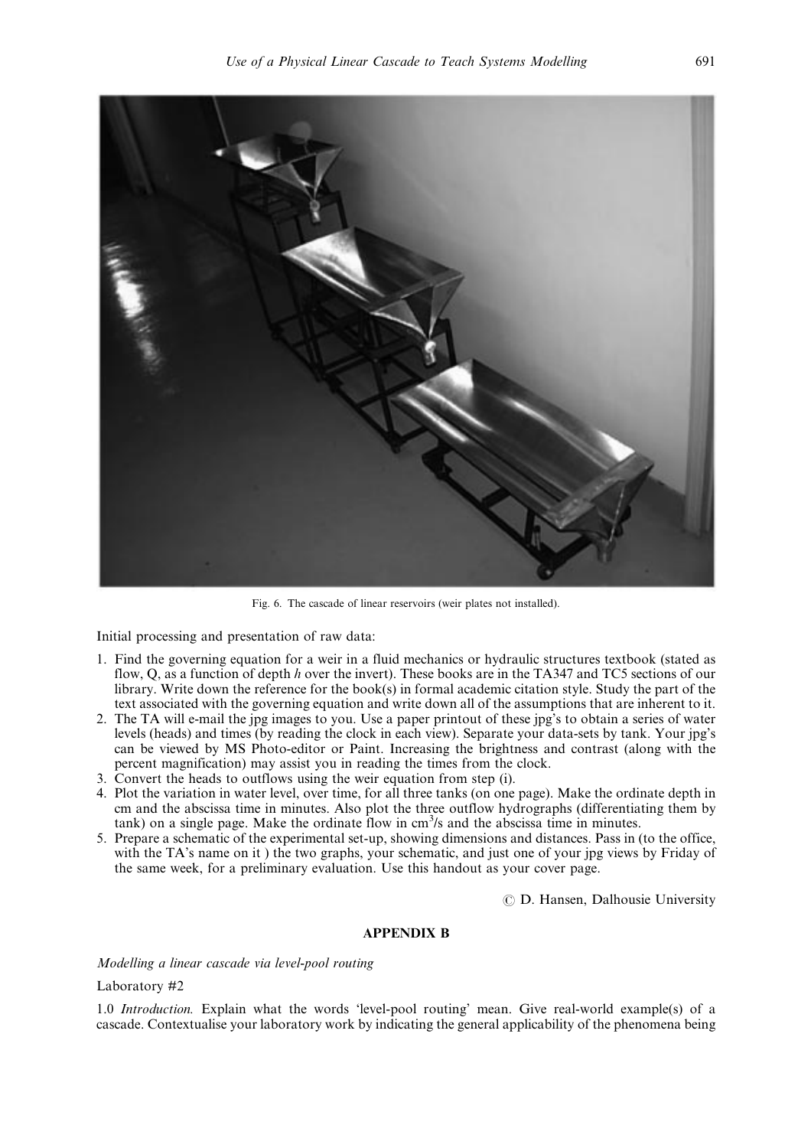

Fig. 6. The cascade of linear reservoirs (weir plates not installed).

Initial processing and presentation of raw data:

- 1. Find the governing equation for a weir in a fluid mechanics or hydraulic structures textbook (stated as flow, Q, as a function of depth h over the invert). These books are in the TA347 and TC5 sections of our library. Write down the reference for the book(s) in formal academic citation style. Study the part of the text associated with the governing equation and write down all of the assumptions that are inherent to it.
- 2. The TA will e-mail the jpg images to you. Use a paper printout of these jpg's to obtain a series of water levels (heads) and times (by reading the clock in each view). Separate your data-sets by tank. Your jpg's can be viewed by MS Photo-editor or Paint. Increasing the brightness and contrast (along with the percent magnification) may assist you in reading the times from the clock.
- 3. Convert the heads to outflows using the weir equation from step (i).
- 4. Plot the variation in water level, over time, for all three tanks (on one page). Make the ordinate depth in cm and the abscissa time in minutes. Also plot the three outflow hydrographs (differentiating them by  $tanh$ ) on a single page. Make the ordinate flow in  $cm<sup>3</sup>/s$  and the abscissa time in minutes.
- 5. Prepare a schematic of the experimental set-up, showing dimensions and distances. Pass in (to the office, with the TA's name on it ) the two graphs, your schematic, and just one of your jpg views by Friday of the same week, for a preliminary evaluation. Use this handout as your cover page.

 $\circ$  D. Hansen, Dalhousie University

# APPENDIX B

Modelling a linear cascade via level-pool routing

# Laboratory #2

1.0 Introduction. Explain what the words 'level-pool routing' mean. Give real-world example(s) of a cascade. Contextualise your laboratory work by indicating the general applicability of the phenomena being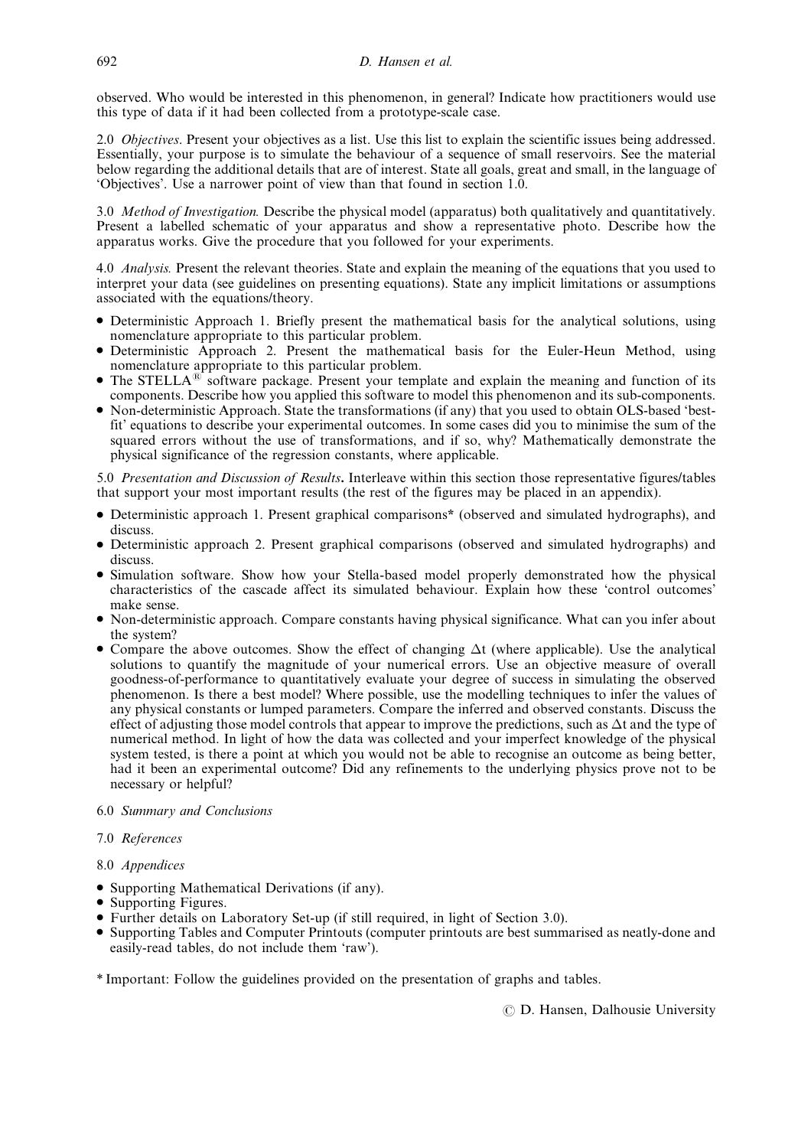observed. Who would be interested in this phenomenon, in general? Indicate how practitioners would use this type of data if it had been collected from a prototype-scale case.

2.0 *Objectives*. Present your objectives as a list. Use this list to explain the scientific issues being addressed. Essentially, your purpose is to simulate the behaviour of a sequence of small reservoirs. See the material below regarding the additional details that are of interest. State all goals, great and small, in the language of `Objectives'. Use a narrower point of view than that found in section 1.0.

3.0 Method of Investigation. Describe the physical model (apparatus) both qualitatively and quantitatively. Present a labelled schematic of your apparatus and show a representative photo. Describe how the apparatus works. Give the procedure that you followed for your experiments.

4.0 *Analysis*. Present the relevant theories. State and explain the meaning of the equations that you used to interpret your data (see guidelines on presenting equations). State any implicit limitations or assumptions associated with the equations/theory.

- . Deterministic Approach 1. Briefly present the mathematical basis for the analytical solutions, using nomenclature appropriate to this particular problem.
- . Deterministic Approach 2. Present the mathematical basis for the Euler-Heun Method, using nomenclature appropriate to this particular problem.
- $\bullet$  The STELLA<sup>®</sup> software package. Present your template and explain the meaning and function of its components. Describe how you applied this software to model this phenomenon and its sub-components.
- . Non-deterministic Approach. State the transformations (if any) that you used to obtain OLS-based `bestfit' equations to describe your experimental outcomes. In some cases did you to minimise the sum of the squared errors without the use of transformations, and if so, why? Mathematically demonstrate the physical significance of the regression constants, where applicable.

5.0 Presentation and Discussion of Results. Interleave within this section those representative figures/tables that support your most important results (the rest of the figures may be placed in an appendix).

- . Deterministic approach 1. Present graphical comparisons\* (observed and simulated hydrographs), and discuss.
- . Deterministic approach 2. Present graphical comparisons (observed and simulated hydrographs) and discuss.
- . Simulation software. Show how your Stella-based model properly demonstrated how the physical characteristics of the cascade affect its simulated behaviour. Explain how these `control outcomes' make sense.
- . Non-deterministic approach. Compare constants having physical significance. What can you infer about the system?
- Compare the above outcomes. Show the effect of changing  $\Delta t$  (where applicable). Use the analytical solutions to quantify the magnitude of your numerical errors. Use an objective measure of overall goodness-of-performance to quantitatively evaluate your degree of success in simulating the observed phenomenon. Is there a best model? Where possible, use the modelling techniques to infer the values of any physical constants or lumped parameters. Compare the inferred and observed constants. Discuss the effect of adjusting those model controls that appear to improve the predictions, such as  $\Delta t$  and the type of numerical method. In light of how the data was collected and your imperfect knowledge of the physical system tested, is there a point at which you would not be able to recognise an outcome as being better, had it been an experimental outcome? Did any refinements to the underlying physics prove not to be necessary or helpful?

# 6.0 Summary and Conclusions

# 7.0 References

# 8.0 Appendices

- . Supporting Mathematical Derivations (if any).
- . Supporting Figures.
- . Further details on Laboratory Set-up (if still required, in light of Section 3.0).
- . Supporting Tables and Computer Printouts (computer printouts are best summarised as neatly-done and easily-read tables, do not include them `raw').
- \* Important: Follow the guidelines provided on the presentation of graphs and tables.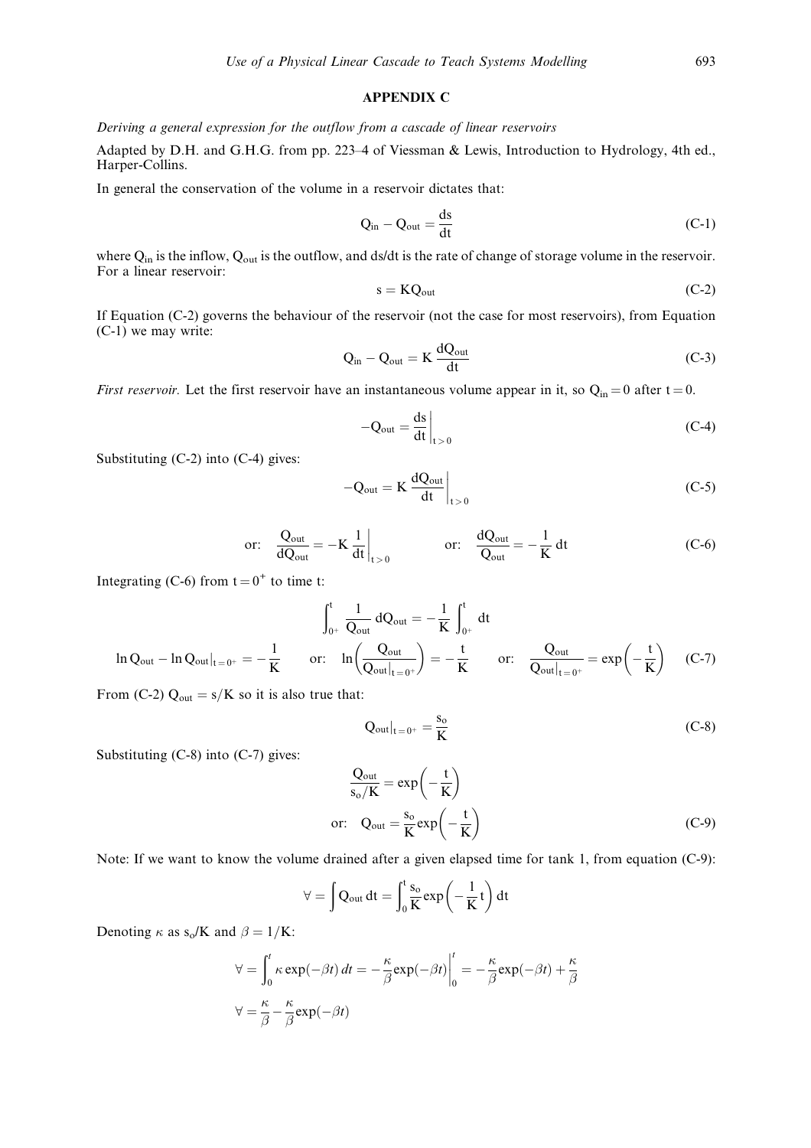# APPENDIX C

Deriving a general expression for the outflow from a cascade of linear reservoirs

Adapted by D.H. and G.H.G. from pp. 223-4 of Viessman & Lewis, Introduction to Hydrology, 4th ed., Harper-Collins.

In general the conservation of the volume in a reservoir dictates that:

$$
Q_{in} - Q_{out} = \frac{ds}{dt}
$$
 (C-1)

where Q<sub>in</sub> is the inflow, Q<sub>out</sub> is the outflow, and ds/dt is the rate of change of storage volume in the reservoir. For a linear reservoir:

$$
s = KQ_{out} \tag{C-2}
$$

If Equation (C-2) governs the behaviour of the reservoir (not the case for most reservoirs), from Equation (C-1) we may write:

$$
Q_{in} - Q_{out} = K \frac{dQ_{out}}{dt}
$$
 (C-3)

First reservoir. Let the first reservoir have an instantaneous volume appear in it, so  $Q_{in} = 0$  after  $t = 0$ .

$$
-Q_{\text{out}} = \frac{ds}{dt}\bigg|_{t>0} \tag{C-4}
$$

Substituting (C-2) into (C-4) gives:

$$
-Q_{\text{out}} = K \frac{dQ_{\text{out}}}{dt} \Big|_{t>0}
$$
 (C-5)

$$
\text{or:} \quad \frac{Q_{\text{out}}}{dQ_{\text{out}}} = -K \frac{1}{dt} \Big|_{t>0} \qquad \qquad \text{or:} \quad \frac{dQ_{\text{out}}}{Q_{\text{out}}} = -\frac{1}{K} dt \tag{C-6}
$$

Integrating (C-6) from  $t = 0^+$  to time t:

$$
\int_{0^+}^t \frac{1}{Q_{out}} dQ_{out} = -\frac{1}{K} \int_{0^+}^t dt
$$
  
In  $Q_{out}|_{t=0^+} = -\frac{1}{K}$  or:  $\ln\left(\frac{Q_{out}}{Q_{out}|_{t=0^+}}\right) = -\frac{t}{K}$  or:  $\frac{Q_{out}}{Q_{out}|_{t=0^+}} = \exp\left(-\frac{t}{K}\right)$  (C-7)

From (C-2)  $Q_{out} = s/K$  so it is also true that:

$$
Q_{\text{out}}|_{t=0^+} = \frac{s_o}{K}
$$
 (C-8)

Substituting (C-8) into (C-7) gives:

$$
\frac{Q_{\text{out}}}{s_{\text{o}}/K} = \exp\left(-\frac{t}{K}\right)
$$
  
or:  $Q_{\text{out}} = \frac{s_{\text{o}}}{K} \exp\left(-\frac{t}{K}\right)$  (C-9)

Note: If we want to know the volume drained after a given elapsed time for tank 1, from equation (C-9):

$$
\forall = \int Q_{out} dt = \int_0^t \frac{s_o}{K} exp\left(-\frac{1}{K}t\right) dt
$$

Denoting  $\kappa$  as s<sub>o</sub>/K and  $\beta = 1/K$ :

$$
\forall = \int_0^t \kappa \exp(-\beta t) dt = -\frac{\kappa}{\beta} \exp(-\beta t) \Big|_0^t = -\frac{\kappa}{\beta} \exp(-\beta t) + \frac{\kappa}{\beta}
$$

$$
\forall = \frac{\kappa}{\beta} - \frac{\kappa}{\beta} \exp(-\beta t)
$$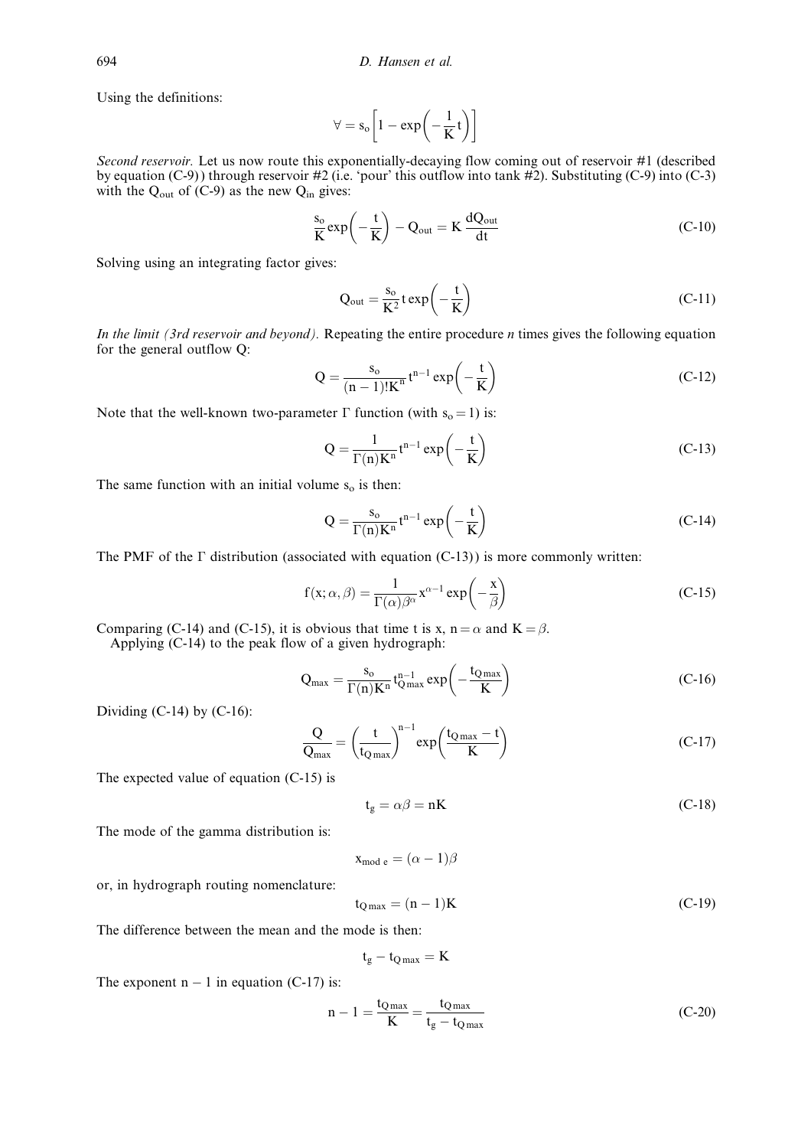Using the definitions:

$$
\forall = s_o \bigg[1 - exp\bigg(-\frac{1}{K}t\bigg)\bigg]
$$

Second reservoir. Let us now route this exponentially-decaying flow coming out of reservoir #1 (described by equation (C-9)) through reservoir #2 (i.e. 'pour' this outflow into tank #2). Substituting (C-9) into (C-3) with the  $Q_{\text{out}}$  of (C-9) as the new  $Q_{\text{in}}$  gives:

$$
\frac{s_o}{K} \exp\left(-\frac{t}{K}\right) - Q_{out} = K \frac{dQ_{out}}{dt}
$$
 (C-10)

Solving using an integrating factor gives:

$$
Q_{\text{out}} = \frac{s_{\text{o}}}{K^2} t \exp\left(-\frac{t}{K}\right) \tag{C-11}
$$

In the limit (3rd reservoir and beyond). Repeating the entire procedure  $n$  times gives the following equation for the general outflow Q:

$$
Q = \frac{s_0}{(n-1)!K^n} t^{n-1} \exp\left(-\frac{t}{K}\right)
$$
 (C-12)

Note that the well-known two-parameter  $\Gamma$  function (with s<sub>o</sub> = 1) is:

$$
Q = \frac{1}{\Gamma(n)K^n} t^{n-1} \exp\left(-\frac{t}{K}\right)
$$
 (C-13)

The same function with an initial volume  $s<sub>o</sub>$  is then:

$$
Q = \frac{s_o}{\Gamma(n)K^n} t^{n-1} \exp\left(-\frac{t}{K}\right)
$$
 (C-14)

The PMF of the  $\Gamma$  distribution (associated with equation (C-13)) is more commonly written:

$$
f(x; \alpha, \beta) = \frac{1}{\Gamma(\alpha)\beta^{\alpha}} x^{\alpha - 1} \exp\left(-\frac{x}{\beta}\right)
$$
 (C-15)

Comparing (C-14) and (C-15), it is obvious that time t is x,  $n = \alpha$  and  $K = \beta$ .

Applying (C-14) to the peak flow of a given hydrograph:

$$
Q_{\text{max}} = \frac{s_{o}}{\Gamma(n)K^{n}} t_{Q\text{max}}^{n-1} \exp\left(-\frac{t_{Q\text{max}}}{K}\right)
$$
 (C-16)

Dividing  $(C-14)$  by  $(C-16)$ :

$$
\frac{Q}{Q_{\text{max}}} = \left(\frac{t}{t_{Q\text{max}}}\right)^{n-1} \exp\left(\frac{t_{Q\text{max}} - t}{K}\right) \tag{C-17}
$$

The expected value of equation (C-15) is

$$
t_g = \alpha \beta = nK \tag{C-18}
$$

The mode of the gamma distribution is:

$$
f_{\rm{max}}
$$

or, in hydrograph routing nomenclature:

$$
t_{\rm Q\,max} = (n-1)\mathbf{K} \tag{C-19}
$$

The difference between the mean and the mode is then:

$$
t_g - t_{Q\max} = K
$$

 $x_{\text{mod e}} = (\alpha - 1)\beta$ 

The exponent  $n - 1$  in equation (C-17) is:

$$
n - 1 = \frac{t_{Qmax}}{K} = \frac{t_{Qmax}}{t_g - t_{Qmax}}\tag{C-20}
$$